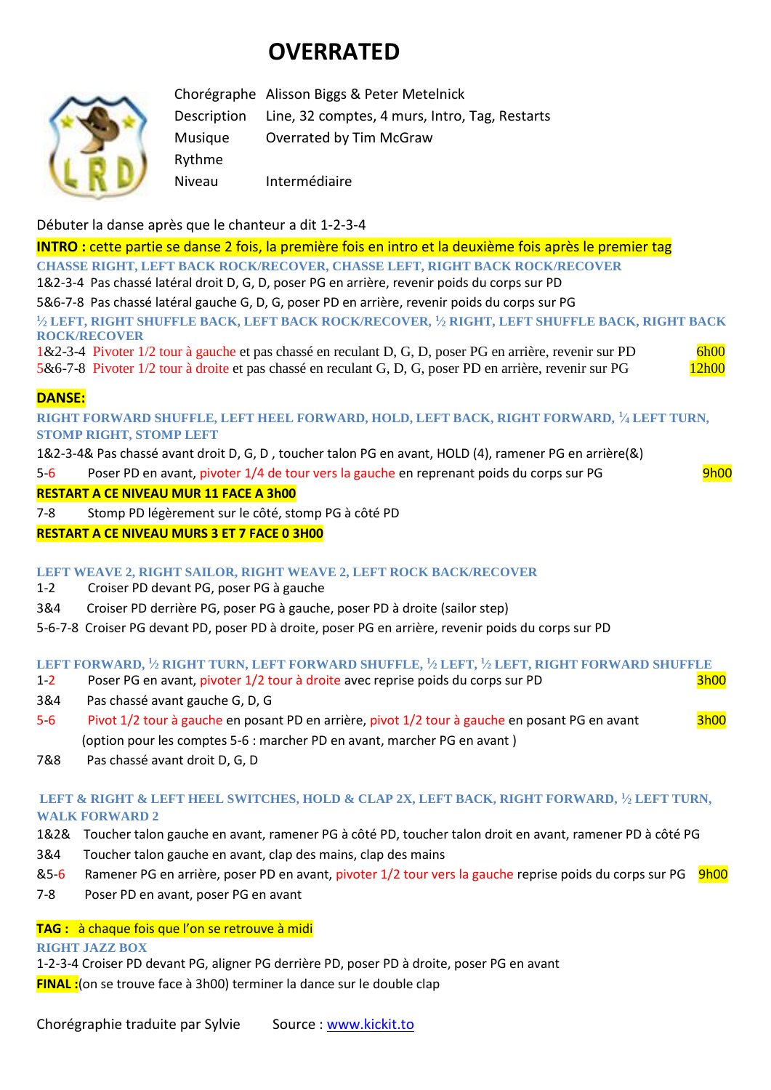# **OVERRATED**



Chorégraphe Alisson Biggs & Peter Metelnick Description Line, 32 comptes, 4 murs, Intro, Tag, Restarts Musique Overrated by Tim McGraw Rythme Niveau Intermédiaire

Débuter la danse après que le chanteur a dit 1-2-3-4

**INTRO :** cette partie se danse 2 fois, la première fois en intro et la deuxième fois après le premier tag **CHASSE RIGHT, LEFT BACK ROCK/RECOVER, CHASSE LEFT, RIGHT BACK ROCK/RECOVER** 1&2-3-4 Pas chassé latéral droit D, G, D, poser PG en arrière, revenir poids du corps sur PD 5&6-7-8 Pas chassé latéral gauche G, D, G, poser PD en arrière, revenir poids du corps sur PG **1 ⁄<sup>2</sup> LEFT, RIGHT SHUFFLE BACK, LEFT BACK ROCK/RECOVER, <sup>1</sup> ⁄<sup>2</sup> RIGHT, LEFT SHUFFLE BACK, RIGHT BACK ROCK/RECOVER** 1&2-3-4 Pivoter 1/2 tour à gauche et pas chassé en reculant D, G, D, poser PG en arrière, revenir sur PD 6h00 5&6-7-8 Pivoter 1/2 tour à droite et pas chassé en reculant G, D, G, poser PD en arrière, revenir sur PG 12h00 **DANSE: RIGHT FORWARD SHUFFLE, LEFT HEEL FORWARD, HOLD, LEFT BACK, RIGHT FORWARD, <sup>1</sup> ⁄<sup>4</sup> LEFT TURN, STOMP RIGHT, STOMP LEFT**

1&2-3-4& Pas chassé avant droit D, G, D , toucher talon PG en avant, HOLD (4), ramener PG en arrière(&)

5-6 Poser PD en avant, pivoter 1/4 de tour vers la gauche en reprenant poids du corps sur PG 9h00

### **RESTART A CE NIVEAU MUR 11 FACE A 3h00**

7-8 Stomp PD légèrement sur le côté, stomp PG à côté PD

**RESTART A CE NIVEAU MURS 3 ET 7 FACE 0 3H00**

## **LEFT WEAVE 2, RIGHT SAILOR, RIGHT WEAVE 2, LEFT ROCK BACK/RECOVER**

- 1-2 Croiser PD devant PG, poser PG à gauche
- 3&4 Croiser PD derrière PG, poser PG à gauche, poser PD à droite (sailor step)
- 5-6-7-8 Croiser PG devant PD, poser PD à droite, poser PG en arrière, revenir poids du corps sur PD

#### **LEFT FORWARD, <sup>1</sup> ⁄<sup>2</sup> RIGHT TURN, LEFT FORWARD SHUFFLE, <sup>1</sup> ⁄<sup>2</sup> LEFT, <sup>1</sup> ⁄<sup>2</sup> LEFT, RIGHT FORWARD SHUFFLE**

- 1-2 Poser PG en avant, pivoter 1/2 tour à droite avec reprise poids du corps sur PD 3h00
- 3&4 Pas chassé avant gauche G, D, G
- 5-6 Pivot 1/2 tour à gauche en posant PD en arrière, pivot 1/2 tour à gauche en posant PG en avant (option pour les comptes 5-6 : marcher PD en avant, marcher PG en avant )
- 7&8 Pas chassé avant droit D, G, D

## **LEFT & RIGHT & LEFT HEEL SWITCHES, HOLD & CLAP 2X, LEFT BACK, RIGHT FORWARD, <sup>1</sup> ⁄<sup>2</sup> LEFT TURN, WALK FORWARD 2**

- 1&2& Toucher talon gauche en avant, ramener PG à côté PD, toucher talon droit en avant, ramener PD à côté PG
- 3&4 Toucher talon gauche en avant, clap des mains, clap des mains
- &5-6 Ramener PG en arrière, poser PD en avant, pivoter 1/2 tour vers la gauche reprise poids du corps sur PG 9h00
- 7-8 Poser PD en avant, poser PG en avant

## **TAG :** à chaque fois que l'on se retrouve à midi

#### **RIGHT JAZZ BOX**

1-2-3-4 Croiser PD devant PG, aligner PG derrière PD, poser PD à droite, poser PG en avant **FINAL :**(on se trouve face à 3h00) terminer la dance sur le double clap